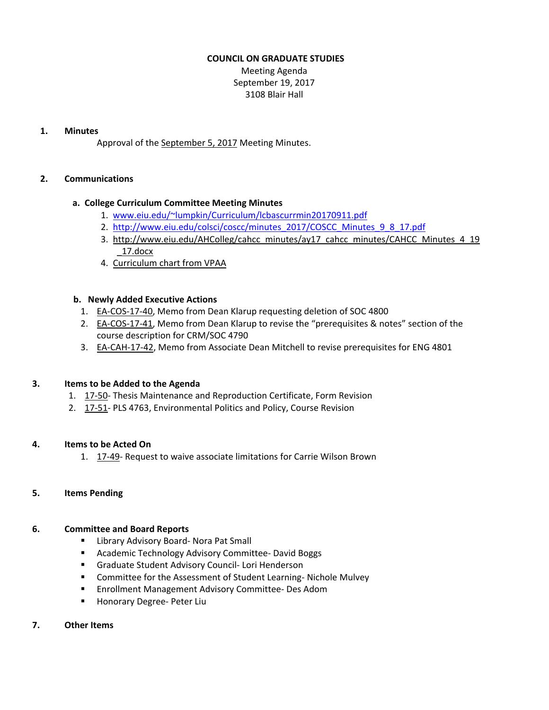### **COUNCIL ON GRADUATE STUDIES**

Meeting Agenda September 19, 2017 3108 Blair Hall

### **1. Minutes**

Approval of the [September](http://castle.eiu.edu/eiucgs/currentminutes/Minutes9-5-17.pdf) 5, 2017 Meeting Minutes.

# **2. Communications**

# **a. College Curriculum Committee Meeting Minutes**

- 1. [www.eiu.edu/~lumpkin/Curriculum/lcbascurrmin20170911.pdf](http://www.eiu.edu/~lumpkin/Curriculum/lcbascurrmin20170911.pdf)
- 2. [http://www.eiu.edu/colsci/coscc/minutes\\_2017/COSCC\\_Minutes\\_9\\_8\\_17.pdf](http://www.eiu.edu/colsci/coscc/minutes_2017/COSCC_Minutes_9_8_17.pdf)
- 3. [http://www.eiu.edu/AHColleg/cahcc\\_minutes/ay17\\_cahcc\\_minutes/CAHCC\\_Minutes\\_4\\_](http://www.eiu.edu/AHColleg/cahcc_minutes/ay17_cahcc_minutes/CAHCC_Minutes_4_19_17.docx)19 \_17.docx
- 4. [Curriculum](http://castle.eiu.edu/acaffair/Curriculum/curricchrt2017.pdf) chart from VPAA

# **b. Newly Added Executive Actions**

- 1. EA‐[COS](http://castle.eiu.edu/eiucgs/exec-actions/EA-COS-17-40.pdf)‐17‐40, Memo from Dean Klarup requesting deletion of SOC 4800
- 2. EA-[COS](http://castle.eiu.edu/eiucgs/exec-actions/EA-COS-17-41.pdf)-17-41, Memo from Dean Klarup to revise the "prerequisites & notes" section of the course description for CRM/SOC 4790
- 3. EA-[CAH](http://castle.eiu.edu/eiucgs/exec-actions/EA-CAH-17-42.pdf)-17-42, Memo from Associate Dean Mitchell to revise prerequisites for ENG 4801

# **3. Items to be Added to the Agenda**

- 1. [17](http://castle.eiu.edu/eiucgs/currentagendaitems/agenda17-50.pdf)-50- Thesis Maintenance and Reproduction Certificate, Form Revision
- 2. [17](http://castle.eiu.edu/eiucgs/currentagendaitems/agenda17-51.pdf)‐51‐ PLS 4763, Environmental Politics and Policy, Course Revision

# **4. Items to be Acted On**

1. 17-[49](http://castle.eiu.edu/eiucgs/currentagendaitems/agenda17-49.pdf)- Request to waive associate limitations for Carrie Wilson Brown

# **5. Items Pending**

# **6. Committee and Board Reports**

- Library Advisory Board- Nora Pat Small
- Academic Technology Advisory Committee- David Boggs
- Graduate Student Advisory Council- Lori Henderson
- Committee for the Assessment of Student Learning-Nichole Mulvey
- Enrollment Management Advisory Committee- Des Adom
- Honorary Degree- Peter Liu

# **7. Other Items**